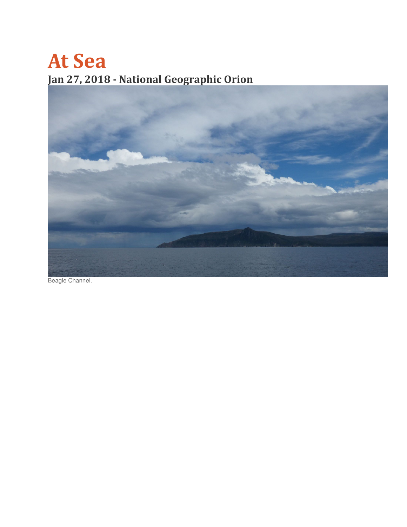## At Sea Jan 27, 2018 - National Geographic Orion



Beagle Channel.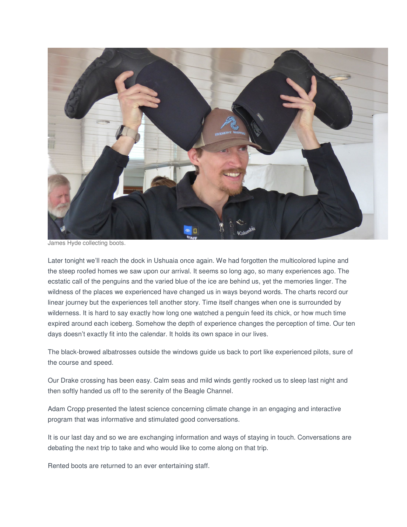

James Hyde collecting boots.

Later tonight we'll reach the dock in Ushuaia once again. We had forgotten the multicolored lupine and the steep roofed homes we saw upon our arrival. It seems so long ago, so many experiences ago. The ecstatic call of the penguins and the varied blue of the ice are behind us, yet the memories linger. The wildness of the places we experienced have changed us in ways beyond words. The charts record our linear journey but the experiences tell another story. Time itself changes when one is surrounded by wilderness. It is hard to say exactly how long one watched a penguin feed its chick, or how much time expired around each iceberg. Somehow the depth of experience changes the perception of time. Our ten days doesn't exactly fit into the calendar. It holds its own space in our lives.

The black-browed albatrosses outside the windows guide us back to port like experienced pilots, sure of the course and speed.

Our Drake crossing has been easy. Calm seas and mild winds gently rocked us to sleep last night and then softly handed us off to the serenity of the Beagle Channel.

Adam Cropp presented the latest science concerning climate change in an engaging and interactive program that was informative and stimulated good conversations.

It is our last day and so we are exchanging information and ways of staying in touch. Conversations are debating the next trip to take and who would like to come along on that trip.

Rented boots are returned to an ever entertaining staff.